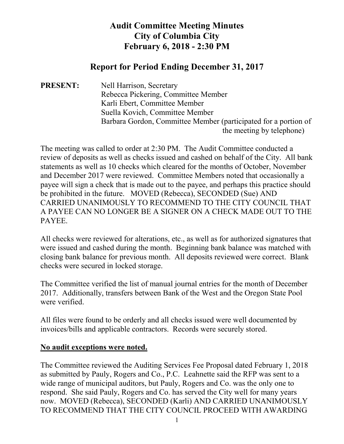## **Audit Committee Meeting Minutes City of Columbia City February 6, 2018 - 2:30 PM**

## **Report for Period Ending December 31, 2017**

**PRESENT:** Nell Harrison, Secretary Rebecca Pickering, Committee Member Karli Ebert, Committee Member Suella Kovich, Committee Member Barbara Gordon, Committee Member (participated for a portion of the meeting by telephone)

The meeting was called to order at 2:30 PM. The Audit Committee conducted a review of deposits as well as checks issued and cashed on behalf of the City. All bank statements as well as 10 checks which cleared for the months of October, November and December 2017 were reviewed. Committee Members noted that occasionally a payee will sign a check that is made out to the payee, and perhaps this practice should be prohibited in the future. MOVED (Rebecca), SECONDED (Sue) AND CARRIED UNANIMOUSLY TO RECOMMEND TO THE CITY COUNCIL THAT A PAYEE CAN NO LONGER BE A SIGNER ON A CHECK MADE OUT TO THE PAYEE.

All checks were reviewed for alterations, etc., as well as for authorized signatures that were issued and cashed during the month. Beginning bank balance was matched with closing bank balance for previous month. All deposits reviewed were correct. Blank checks were secured in locked storage.

The Committee verified the list of manual journal entries for the month of December 2017. Additionally, transfers between Bank of the West and the Oregon State Pool were verified.

All files were found to be orderly and all checks issued were well documented by invoices/bills and applicable contractors. Records were securely stored.

## **No audit exceptions were noted.**

The Committee reviewed the Auditing Services Fee Proposal dated February 1, 2018 as submitted by Pauly, Rogers and Co., P.C. Leahnette said the RFP was sent to a wide range of municipal auditors, but Pauly, Rogers and Co. was the only one to respond. She said Pauly, Rogers and Co. has served the City well for many years now. MOVED (Rebecca), SECONDED (Karli) AND CARRIED UNANIMOUSLY TO RECOMMEND THAT THE CITY COUNCIL PROCEED WITH AWARDING